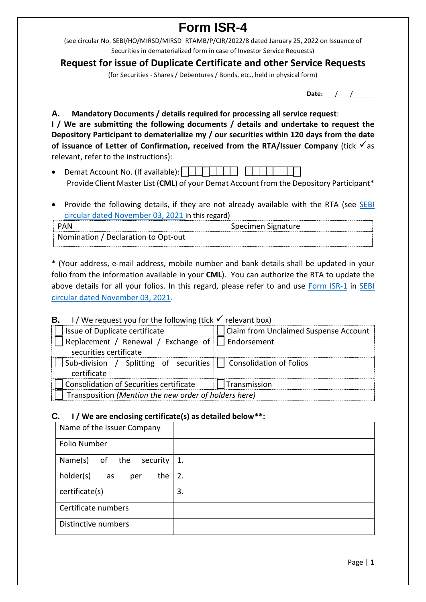# **Form ISR-4**

(see circular No. SEBI/HO/MIRSD/MIRSD\_RTAMB/P/CIR/2022/8 dated January 25, 2022 on Issuance of Securities in dematerialized form in case of Investor Service Requests)

## **Request for issue of Duplicate Certificate and other Service Requests**

(for Securities - Shares / Debentures / Bonds, etc., held in physical form)

**Date:** / /

**A. Mandatory Documents / details required for processing all service request**: **I / We are submitting the following documents / details and undertake to request the Depository Participant to dematerialize my / our securities within 120 days from the date**  of **issuance** of Letter of Confirmation, received from the RTA/Issuer Company (tick  $\checkmark$  as relevant, refer to the instructions):

- Demat Account No. (If available):  $\begin{array}{c|c|c|c|c} \hline \end{array}$ Provide Client Master List (**CML**) of your Demat Account from the Depository Participant\*
- Provide the following details, if they are not already available with the RTA (see SEBI [circular dated November 03, 2021](https://www.sebi.gov.in/legal/circulars/nov-2021/common-and-simplified-norms-for-processing-investor-s-service-request-by-rtas-and-norms-for-furnishing-pan-kyc-details-and-nomination_53787.html) in this regard)

| PAN                                 | Specimen Signature |
|-------------------------------------|--------------------|
| Nomination / Declaration to Opt-out |                    |

\* (Your address, e-mail address, mobile number and bank details shall be updated in your folio from the information available in your **CML**). You can authorize the RTA to update the above details for all your folios. In this regard, please refer to and use [Form ISR-1](https://www.sebi.gov.in/sebi_data/commondocs/dec-2021/pdf%20Form%20ISR-1%20(1)_p.pdf) in [SEBI](https://www.sebi.gov.in/legal/circulars/nov-2021/common-and-simplified-norms-for-processing-investor-s-service-request-by-rtas-and-norms-for-furnishing-pan-kyc-details-and-nomination_53787.html)  [circular dated November 03, 2021.](https://www.sebi.gov.in/legal/circulars/nov-2021/common-and-simplified-norms-for-processing-investor-s-service-request-by-rtas-and-norms-for-furnishing-pan-kyc-details-and-nomination_53787.html)

### **B.** I / We request you for the following (tick  $\checkmark$  relevant hox)

| Issue of Duplicate certificate                                                    | <b>Claim from Unclaimed Suspense Account</b> |  |  |  |
|-----------------------------------------------------------------------------------|----------------------------------------------|--|--|--|
| Replacement / Renewal / Exchange of     Endorsement                               |                                              |  |  |  |
| securities certificate                                                            |                                              |  |  |  |
| Sub-division / Splitting of securities     Consolidation of Folios<br>certificate |                                              |  |  |  |
| Consolidation of Securities certificate                                           | Transmission                                 |  |  |  |
| Transposition (Mention the new order of holders here)                             |                                              |  |  |  |

#### **C. I / We are enclosing certificate(s) as detailed below\*\*:**

| Name of the Issuer Company    |    |
|-------------------------------|----|
| Folio Number                  |    |
| Name(s)<br>of the<br>security | 1. |
| holder(s)<br>the<br>as<br>per | 2. |
| certificate(s)                | 3. |
| Certificate numbers           |    |
| Distinctive numbers           |    |